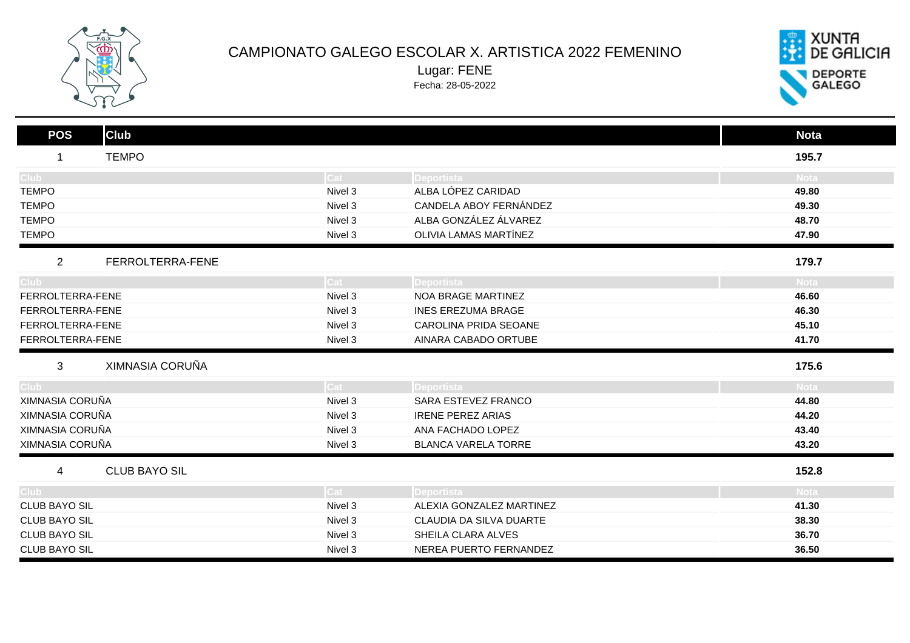

## CAMPIONATO GALEGO ESCOLAR X. ARTISTICA 2022 FEMENINO

Lugar: FENE Fecha: 28-05-2022



| <b>Club</b><br><b>POS</b> |         |                            | <b>Nota</b> |
|---------------------------|---------|----------------------------|-------------|
| <b>TEMPO</b>              |         |                            | 195.7       |
| Club <sub>1</sub>         | Cat     | <b>Deportista</b>          | <b>Nota</b> |
| <b>TEMPO</b>              | Nivel 3 | ALBA LÓPEZ CARIDAD         | 49.80       |
| <b>TEMPO</b>              | Nivel 3 | CANDELA ABOY FERNÁNDEZ     | 49.30       |
| <b>TEMPO</b>              | Nivel 3 | ALBA GONZÁLEZ ÁLVAREZ      | 48.70       |
| <b>TEMPO</b>              | Nivel 3 | OLIVIA LAMAS MARTÍNEZ      | 47.90       |
| 2<br>FERROLTERRA-FENE     |         |                            | 179.7       |
| Club <sup>-</sup>         | Cat     | Deportista                 | <b>Nota</b> |
| FERROLTERRA-FENE          | Nivel 3 | <b>NOA BRAGE MARTINEZ</b>  | 46.60       |
| FERROLTERRA-FENE          | Nivel 3 | <b>INES EREZUMA BRAGE</b>  | 46.30       |
| FERROLTERRA-FENE          | Nivel 3 | CAROLINA PRIDA SEOANE      | 45.10       |
| FERROLTERRA-FENE          | Nivel 3 | AINARA CABADO ORTUBE       | 41.70       |
| XIMNASIA CORUÑA<br>3      |         |                            | 175.6       |
| Club <sub>-</sub>         | Cat     | Deportista                 | <b>Nota</b> |
| XIMNASIA CORUÑA           | Nivel 3 | SARA ESTEVEZ FRANCO        | 44.80       |
| XIMNASIA CORUÑA           | Nivel 3 | <b>IRENE PEREZ ARIAS</b>   | 44.20       |
| XIMNASIA CORUÑA           | Nivel 3 | ANA FACHADO LOPEZ          | 43.40       |
| XIMNASIA CORUÑA           | Nivel 3 | <b>BLANCA VARELA TORRE</b> | 43.20       |
| <b>CLUB BAYO SIL</b><br>4 |         |                            | 152.8       |
| Club :                    | Cat     | Deportista                 | <b>Nota</b> |
| <b>CLUB BAYO SIL</b>      | Nivel 3 | ALEXIA GONZALEZ MARTINEZ   | 41.30       |
| <b>CLUB BAYO SIL</b>      | Nivel 3 | CLAUDIA DA SILVA DUARTE    | 38.30       |
| <b>CLUB BAYO SIL</b>      | Nivel 3 | SHEILA CLARA ALVES         | 36.70       |
|                           |         |                            |             |